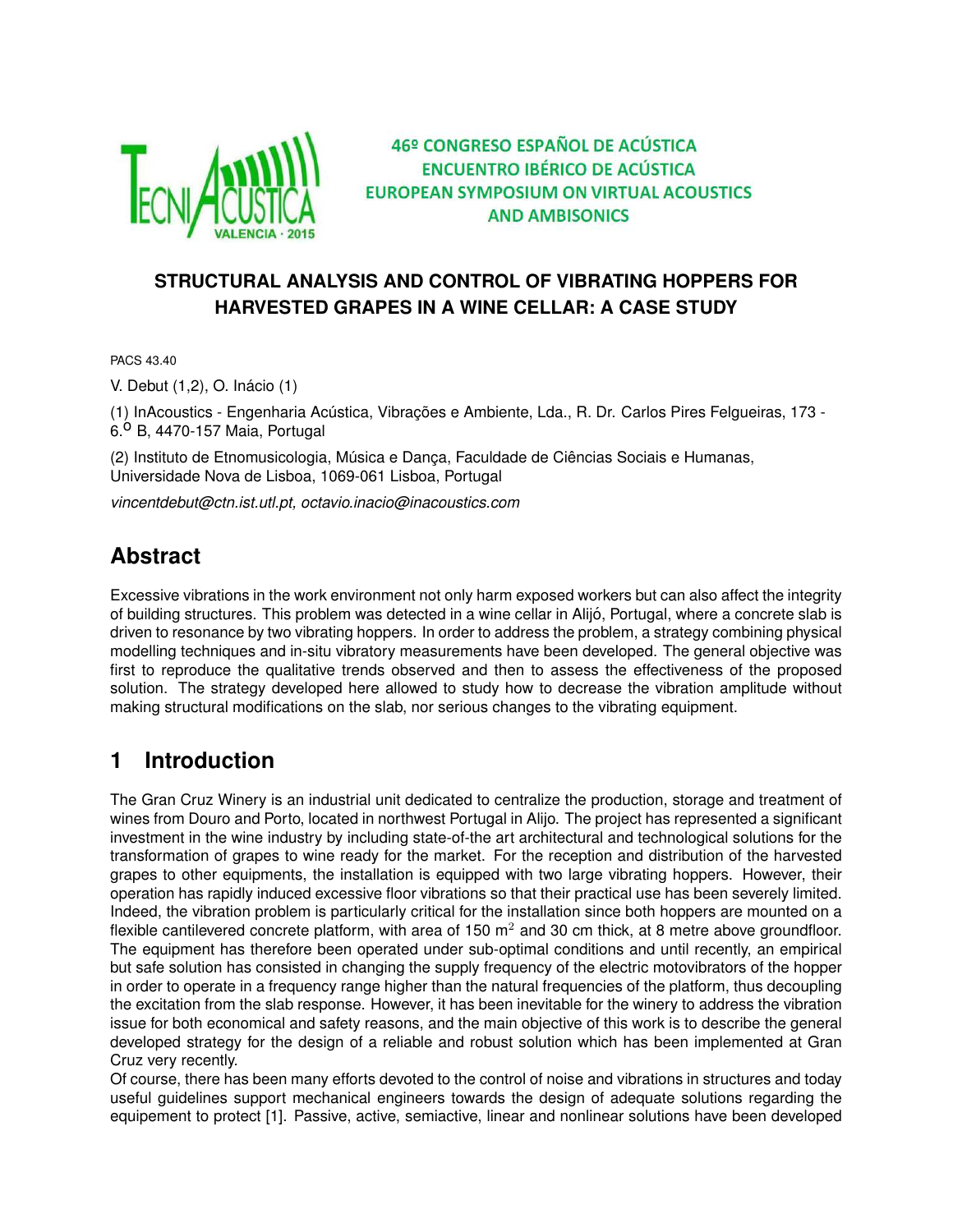

46º CONGRESO ESPAÑOL DE ACÚSTICA **ENCUENTRO IBÉRICO DE ACÚSTICA EUROPEAN SYMPOSIUM ON VIRTUAL ACOUSTICS AND AMBISONICS** 

### **STRUCTURAL ANALYSIS AND CONTROL OF VIBRATING HOPPERS FOR HARVESTED GRAPES IN A WINE CELLAR: A CASE STUDY**

PACS 43.40

V. Debut (1,2), O. Inacio (1) ´

(1) InAcoustics - Engenharia Acústica, Vibrações e Ambiente, Lda., R. Dr. Carlos Pires Felgueiras, 173 - $6.0$  B, 4470-157 Maia, Portugal

(2) Instituto de Etnomusicologia, Música e Dança, Faculdade de Ciências Sociais e Humanas, Universidade Nova de Lisboa, 1069-061 Lisboa, Portugal

*vincentdebut@ctn.ist.utl.pt, octavio.inacio@inacoustics.com*

# **Abstract**

Excessive vibrations in the work environment not only harm exposed workers but can also affect the integrity of building structures. This problem was detected in a wine cellar in Alijo, Portugal, where a concrete slab is ´ driven to resonance by two vibrating hoppers. In order to address the problem, a strategy combining physical modelling techniques and in-situ vibratory measurements have been developed. The general objective was first to reproduce the qualitative trends observed and then to assess the effectiveness of the proposed solution. The strategy developed here allowed to study how to decrease the vibration amplitude without making structural modifications on the slab, nor serious changes to the vibrating equipment.

## **1 Introduction**

The Gran Cruz Winery is an industrial unit dedicated to centralize the production, storage and treatment of wines from Douro and Porto, located in northwest Portugal in Alijo. The project has represented a significant investment in the wine industry by including state-of-the art architectural and technological solutions for the transformation of grapes to wine ready for the market. For the reception and distribution of the harvested grapes to other equipments, the installation is equipped with two large vibrating hoppers. However, their operation has rapidly induced excessive floor vibrations so that their practical use has been severely limited. Indeed, the vibration problem is particularly critical for the installation since both hoppers are mounted on a flexible cantilevered concrete platform, with area of 150  $m<sup>2</sup>$  and 30 cm thick, at 8 metre above groundfloor. The equipment has therefore been operated under sub-optimal conditions and until recently, an empirical but safe solution has consisted in changing the supply frequency of the electric motovibrators of the hopper in order to operate in a frequency range higher than the natural frequencies of the platform, thus decoupling the excitation from the slab response. However, it has been inevitable for the winery to address the vibration issue for both economical and safety reasons, and the main objective of this work is to describe the general developed strategy for the design of a reliable and robust solution which has been implemented at Gran Cruz very recently.

Of course, there has been many efforts devoted to the control of noise and vibrations in structures and today useful guidelines support mechanical engineers towards the design of adequate solutions regarding the equipement to protect [1]. Passive, active, semiactive, linear and nonlinear solutions have been developed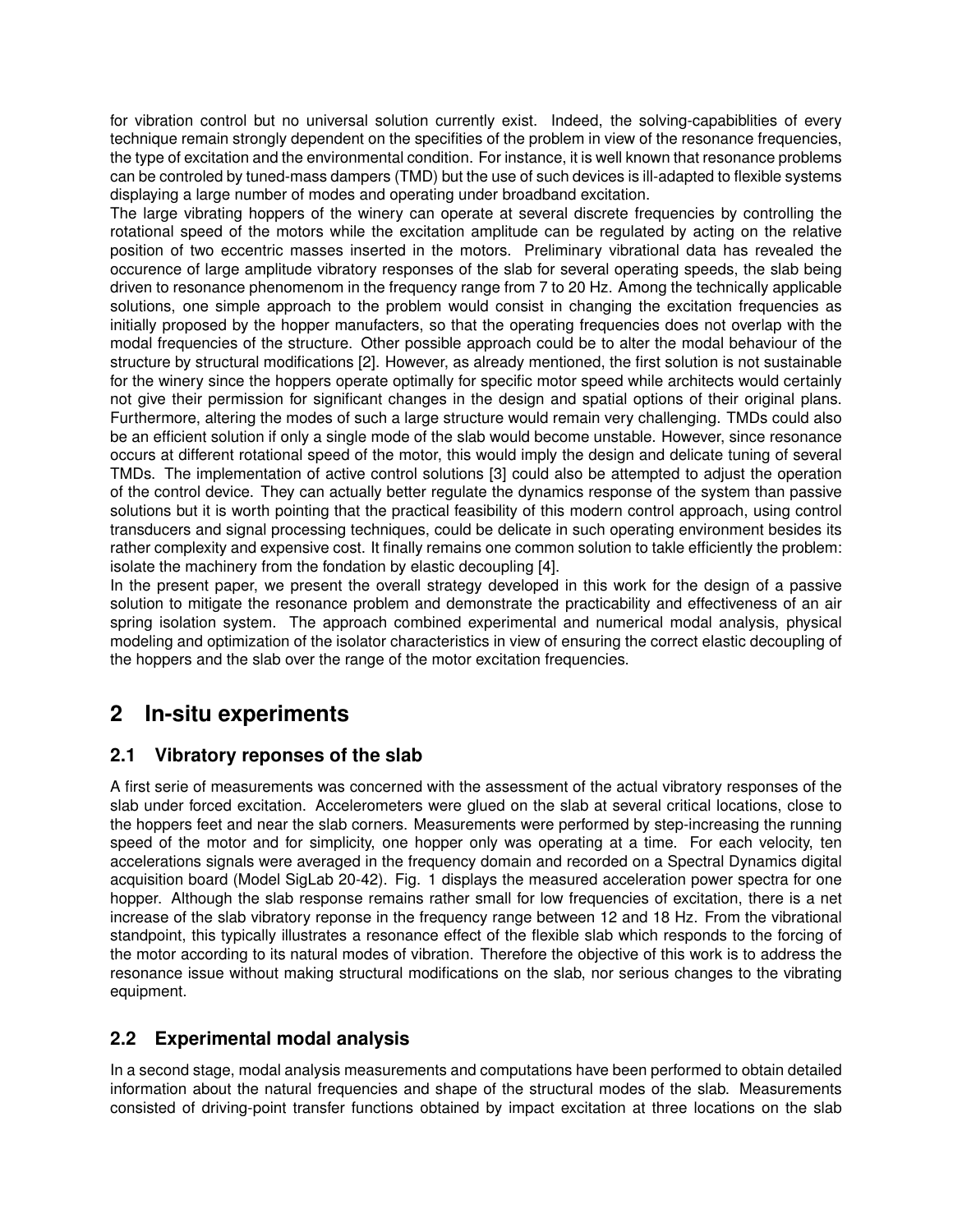for vibration control but no universal solution currently exist. Indeed, the solving-capabiblities of every technique remain strongly dependent on the specifities of the problem in view of the resonance frequencies, the type of excitation and the environmental condition. For instance, it is well known that resonance problems can be controled by tuned-mass dampers (TMD) but the use of such devices is ill-adapted to flexible systems displaying a large number of modes and operating under broadband excitation.

The large vibrating hoppers of the winery can operate at several discrete frequencies by controlling the rotational speed of the motors while the excitation amplitude can be regulated by acting on the relative position of two eccentric masses inserted in the motors. Preliminary vibrational data has revealed the occurence of large amplitude vibratory responses of the slab for several operating speeds, the slab being driven to resonance phenomenom in the frequency range from 7 to 20 Hz. Among the technically applicable solutions, one simple approach to the problem would consist in changing the excitation frequencies as initially proposed by the hopper manufacters, so that the operating frequencies does not overlap with the modal frequencies of the structure. Other possible approach could be to alter the modal behaviour of the structure by structural modifications [2]. However, as already mentioned, the first solution is not sustainable for the winery since the hoppers operate optimally for specific motor speed while architects would certainly not give their permission for significant changes in the design and spatial options of their original plans. Furthermore, altering the modes of such a large structure would remain very challenging. TMDs could also be an efficient solution if only a single mode of the slab would become unstable. However, since resonance occurs at different rotational speed of the motor, this would imply the design and delicate tuning of several TMDs. The implementation of active control solutions [3] could also be attempted to adjust the operation of the control device. They can actually better regulate the dynamics response of the system than passive solutions but it is worth pointing that the practical feasibility of this modern control approach, using control transducers and signal processing techniques, could be delicate in such operating environment besides its rather complexity and expensive cost. It finally remains one common solution to takle efficiently the problem: isolate the machinery from the fondation by elastic decoupling [4].

In the present paper, we present the overall strategy developed in this work for the design of a passive solution to mitigate the resonance problem and demonstrate the practicability and effectiveness of an air spring isolation system. The approach combined experimental and numerical modal analysis, physical modeling and optimization of the isolator characteristics in view of ensuring the correct elastic decoupling of the hoppers and the slab over the range of the motor excitation frequencies.

# **2 In-situ experiments**

### **2.1 Vibratory reponses of the slab**

A first serie of measurements was concerned with the assessment of the actual vibratory responses of the slab under forced excitation. Accelerometers were glued on the slab at several critical locations, close to the hoppers feet and near the slab corners. Measurements were performed by step-increasing the running speed of the motor and for simplicity, one hopper only was operating at a time. For each velocity, ten accelerations signals were averaged in the frequency domain and recorded on a Spectral Dynamics digital acquisition board (Model SigLab 20-42). Fig. 1 displays the measured acceleration power spectra for one hopper. Although the slab response remains rather small for low frequencies of excitation, there is a net increase of the slab vibratory reponse in the frequency range between 12 and 18 Hz. From the vibrational standpoint, this typically illustrates a resonance effect of the flexible slab which responds to the forcing of the motor according to its natural modes of vibration. Therefore the objective of this work is to address the resonance issue without making structural modifications on the slab, nor serious changes to the vibrating equipment.

### **2.2 Experimental modal analysis**

In a second stage, modal analysis measurements and computations have been performed to obtain detailed information about the natural frequencies and shape of the structural modes of the slab. Measurements consisted of driving-point transfer functions obtained by impact excitation at three locations on the slab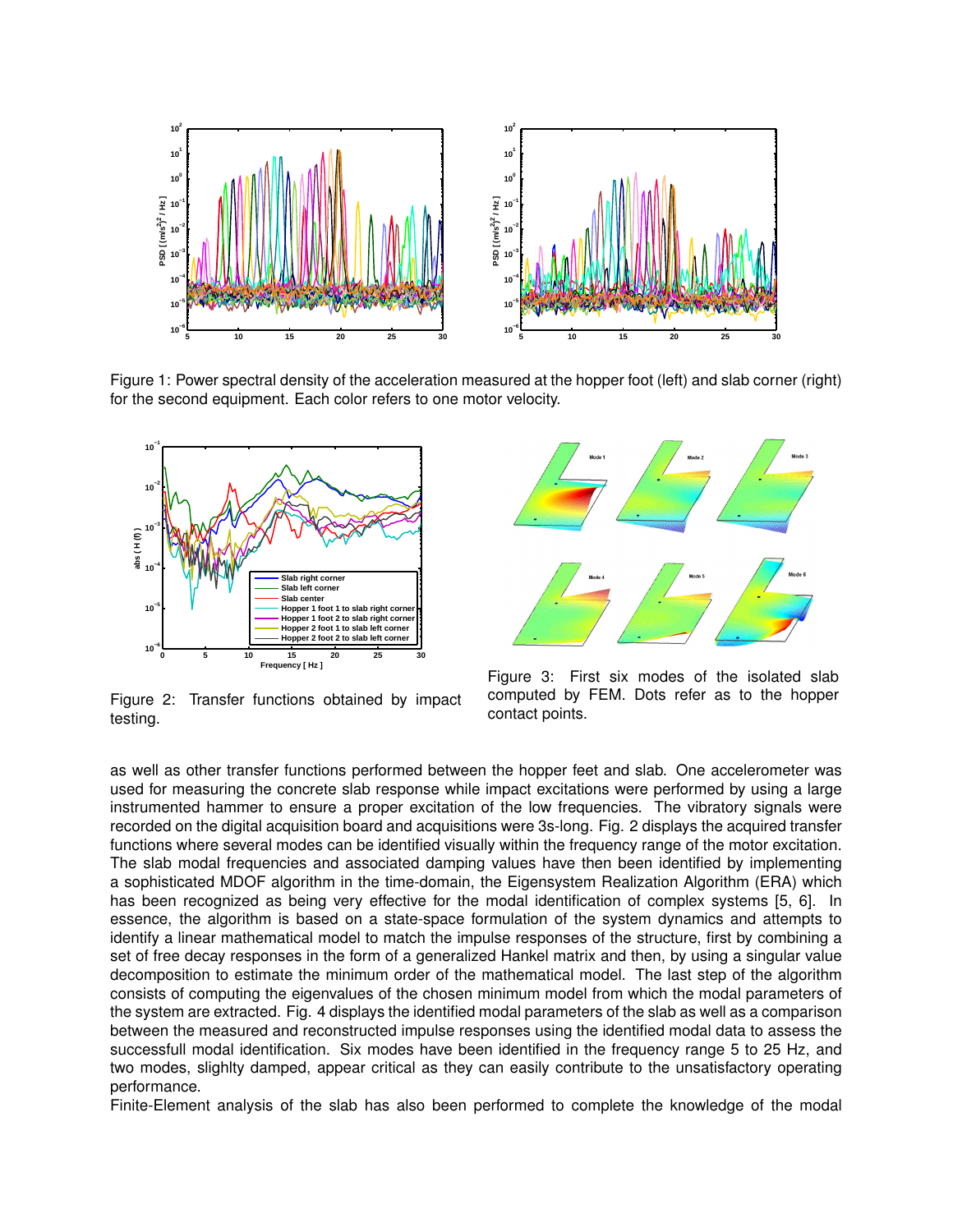

Figure 1: Power spectral density of the acceleration measured at the hopper foot (left) and slab corner (right) for the second equipment. Each color refers to one motor velocity.



Figure 2: Transfer functions obtained by impact testing.



Figure 3: First six modes of the isolated slab computed by FEM. Dots refer as to the hopper contact points.

as well as other transfer functions performed between the hopper feet and slab. One accelerometer was used for measuring the concrete slab response while impact excitations were performed by using a large instrumented hammer to ensure a proper excitation of the low frequencies. The vibratory signals were recorded on the digital acquisition board and acquisitions were 3s-long. Fig. 2 displays the acquired transfer functions where several modes can be identified visually within the frequency range of the motor excitation. The slab modal frequencies and associated damping values have then been identified by implementing a sophisticated MDOF algorithm in the time-domain, the Eigensystem Realization Algorithm (ERA) which has been recognized as being very effective for the modal identification of complex systems [5, 6]. In essence, the algorithm is based on a state-space formulation of the system dynamics and attempts to identify a linear mathematical model to match the impulse responses of the structure, first by combining a set of free decay responses in the form of a generalized Hankel matrix and then, by using a singular value decomposition to estimate the minimum order of the mathematical model. The last step of the algorithm consists of computing the eigenvalues of the chosen minimum model from which the modal parameters of the system are extracted. Fig. 4 displays the identified modal parameters of the slab as well as a comparison between the measured and reconstructed impulse responses using the identified modal data to assess the successfull modal identification. Six modes have been identified in the frequency range 5 to 25 Hz, and two modes, slighlty damped, appear critical as they can easily contribute to the unsatisfactory operating performance.

Finite-Element analysis of the slab has also been performed to complete the knowledge of the modal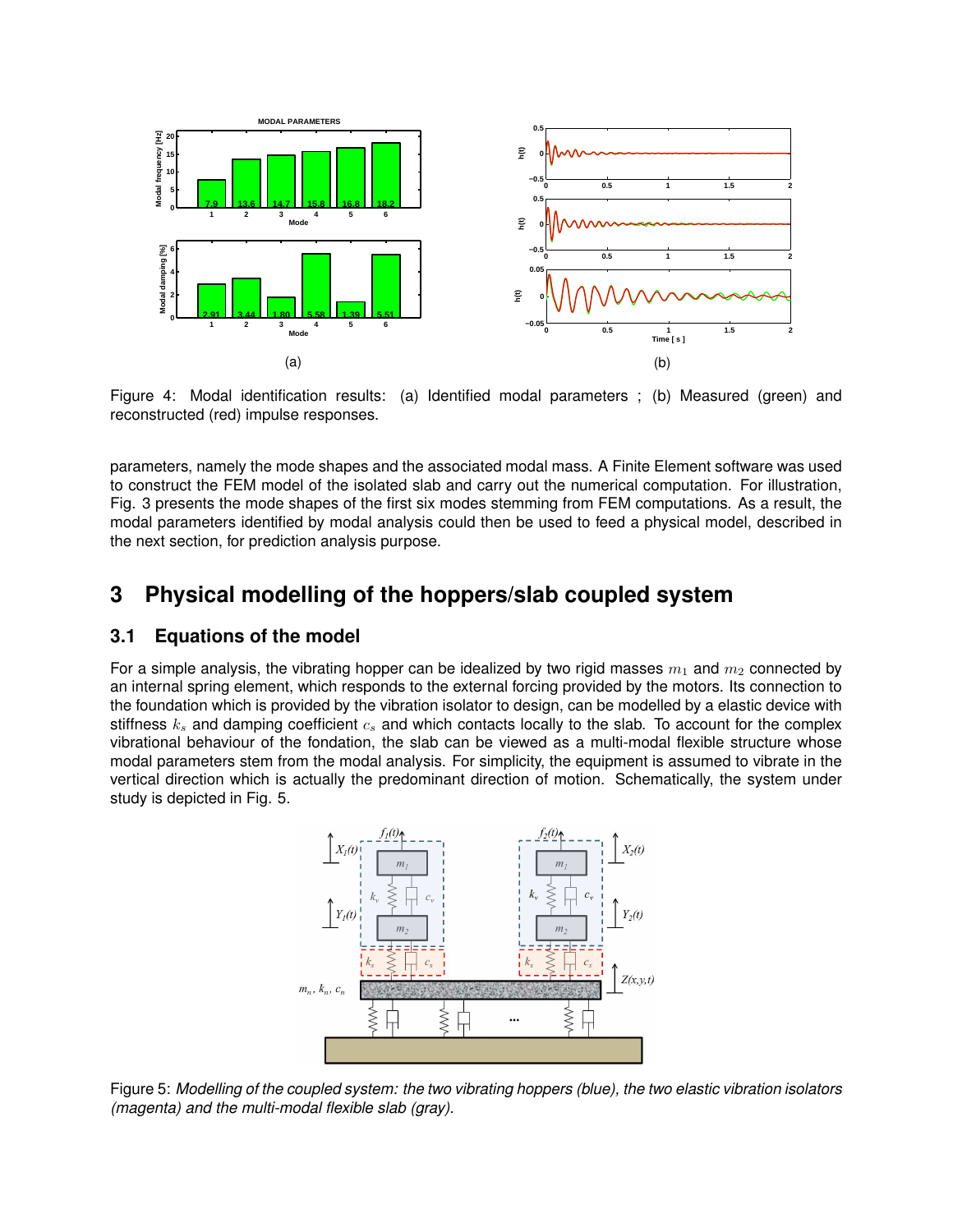

Figure 4: Modal identification results: (a) Identified modal parameters ; (b) Measured (green) and reconstructed (red) impulse responses.

parameters, namely the mode shapes and the associated modal mass. A Finite Element software was used to construct the FEM model of the isolated slab and carry out the numerical computation. For illustration, Fig. 3 presents the mode shapes of the first six modes stemming from FEM computations. As a result, the modal parameters identified by modal analysis could then be used to feed a physical model, described in the next section, for prediction analysis purpose.

### **3 Physical modelling of the hoppers/slab coupled system**

### **3.1 Equations of the model**

For a simple analysis, the vibrating hopper can be idealized by two rigid masses  $m_1$  and  $m_2$  connected by an internal spring element, which responds to the external forcing provided by the motors. Its connection to the foundation which is provided by the vibration isolator to design, can be modelled by a elastic device with stiffness  $k_s$  and damping coefficient  $c_s$  and which contacts locally to the slab. To account for the complex vibrational behaviour of the fondation, the slab can be viewed as a multi-modal flexible structure whose modal parameters stem from the modal analysis. For simplicity, the equipment is assumed to vibrate in the vertical direction which is actually the predominant direction of motion. Schematically, the system under study is depicted in Fig. 5.



Figure 5: *Modelling of the coupled system: the two vibrating hoppers (blue), the two elastic vibration isolators (magenta) and the multi-modal flexible slab (gray).*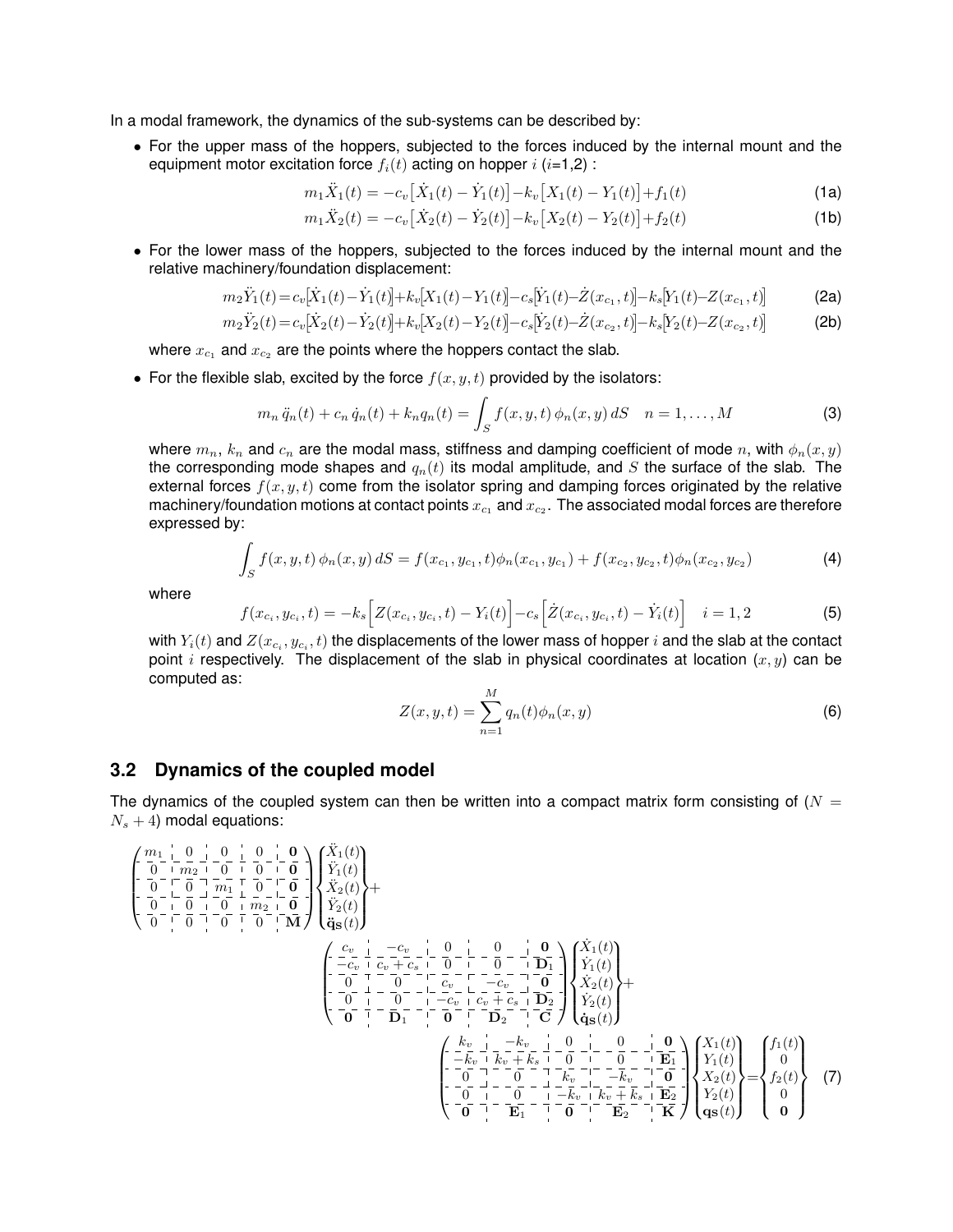In a modal framework, the dynamics of the sub-systems can be described by:

• For the upper mass of the hoppers, subjected to the forces induced by the internal mount and the equipment motor excitation force  $f_i(t)$  acting on hopper  $i$  ( $i=1,2$ ) :

$$
m_1 \ddot{X}_1(t) = -c_v \left[ \dot{X}_1(t) - \dot{Y}_1(t) \right] - k_v \left[ X_1(t) - Y_1(t) \right] + f_1(t)
$$
\n(1a)

$$
m_1 \ddot{X}_2(t) = -c_v \left[ \dot{X}_2(t) - \dot{Y}_2(t) \right] - k_v \left[ X_2(t) - Y_2(t) \right] + f_2(t)
$$
\n(1b)

• For the lower mass of the hoppers, subjected to the forces induced by the internal mount and the relative machinery/foundation displacement:

$$
m_2\ddot{Y}_1(t) = c_v[\dot{X}_1(t) - \dot{Y}_1(t)] + k_v[X_1(t) - Y_1(t)] - c_s[\dot{Y}_1(t) - \dot{Z}(x_{c_1}, t)] - k_s[Y_1(t) - Z(x_{c_1}, t)]
$$
\n(2a)

$$
m_2\ddot{Y}_2(t) = c_v[\dot{X}_2(t) - \dot{Y}_2(t)] + k_v[X_2(t) - Y_2(t)] - c_s[\dot{Y}_2(t) - \dot{Z}(x_{c_2}, t)] - k_s[Y_2(t) - Z(x_{c_2}, t)]
$$
\n(2b)

where  $x_{c_1}$  and  $x_{c_2}$  are the points where the hoppers contact the slab.

• For the flexible slab, excited by the force  $f(x, y, t)$  provided by the isolators:

$$
m_n \ddot{q}_n(t) + c_n \dot{q}_n(t) + k_n q_n(t) = \int_S f(x, y, t) \phi_n(x, y) dS \quad n = 1, ..., M
$$
 (3)

where  $m_n$ ,  $k_n$  and  $c_n$  are the modal mass, stiffness and damping coefficient of mode n, with  $\phi_n(x, y)$ the corresponding mode shapes and  $q_n(t)$  its modal amplitude, and S the surface of the slab. The external forces  $f(x, y, t)$  come from the isolator spring and damping forces originated by the relative machinery/foundation motions at contact points  $x_{c_1}$  and  $x_{c_2}.$  The associated modal forces are therefore expressed by:

$$
\int_{S} f(x, y, t) \phi_n(x, y) dS = f(x_{c_1}, y_{c_1}, t) \phi_n(x_{c_1}, y_{c_1}) + f(x_{c_2}, y_{c_2}, t) \phi_n(x_{c_2}, y_{c_2})
$$
\n(4)

where

$$
f(x_{c_i}, y_{c_i}, t) = -k_s \Big[ Z(x_{c_i}, y_{c_i}, t) - Y_i(t) \Big] - c_s \Big[ \dot{Z}(x_{c_i}, y_{c_i}, t) - \dot{Y}_i(t) \Big] \quad i = 1, 2
$$
 (5)

with  $Y_i(t)$  and  $Z(x_{c_i},y_{c_i},t)$  the displacements of the lower mass of hopper  $i$  and the slab at the contact point i respectively. The displacement of the slab in physical coordinates at location  $(x, y)$  can be computed as:

$$
Z(x, y, t) = \sum_{n=1}^{M} q_n(t)\phi_n(x, y)
$$
 (6)

### **3.2 Dynamics of the coupled model**

The dynamics of the coupled system can then be written into a compact matrix form consisting of ( $N =$  $N_s + 4$ ) modal equations:

$$
\begin{pmatrix}\n\frac{m_1}{0} - \frac{0}{m_2} - \frac{0}{0} - \frac{0}{m_1} - \frac{0}{0} \\
-\frac{0}{0} - \frac{0}{0} - \frac{0}{m_1} + \frac{0}{0} - \frac{0}{0} \\
-\frac{0}{0} - \frac{0}{0} - \frac{0}{0} - \frac{0}{m_1} + \frac{0}{0} - \frac{0}{m_1}\n\end{pmatrix}\n\begin{pmatrix}\n\ddot{X}_1(t) \\
\ddot{X}_2(t) \\
\ddot{X}_3(t)\n\end{pmatrix} + \n\begin{pmatrix}\n\frac{c_0}{1} - \frac{1}{1} - \frac{c_0}{1} - \frac{1}{1} - \frac{c_0}{1} - \frac{1}{1} - \frac{0}{m_1} - \frac{1}{m_1} - \frac{0}{m_1} \\
-\frac{0}{0} - \frac{1}{1} - \frac{0}{m_1} - \frac{1}{1} - \frac{0}{m_1} - \frac{1}{m_1} - \frac{0}{m_1} - \frac{1}{m_1} - \frac{0}{m_1} - \frac{1}{m_1}\n\end{pmatrix}\n\begin{pmatrix}\n\dot{X}_1(t) \\
\dot{Y}_2(t) \\
\dot{Y}_3(t) \\
\dot{Y}_2(t) \\
\dot{Y}_3(t) \\
\dot{Y}_4(t) \\
\dot{Y}_5(t) \\
\dot{Y}_6(t)\n\end{pmatrix} + \n\begin{pmatrix}\n\frac{c_0}{1} - \frac{1}{1} - \frac{c_0}{1} - \frac{1}{1} - \frac{0}{1} - \frac{1}{1} - \frac{0}{1} - \frac{1}{1} - \frac{0}{1} - \frac{1}{1} - \frac{0}{1} \\
-\frac{0}{1} - \frac{1}{1} - \frac{0}{1} - \frac{1}{1} - \frac{0}{1} - \frac{1}{1} - \frac{0}{1} - \frac{1}{1} - \frac{0}{1}\n\end{pmatrix}\n\begin{pmatrix}\n\dot{X}_1(t) \\
\dot{Y}_1(t) \\
\dot{Y}_2(t) \\
\dot{Y}_3(t)\n\end{pmatrix} + \n\begin{pmatrix}\n\frac{k_0}{1} - \frac{1}{1} - \frac{1}{1} - \frac{1}{1} - \frac{1}{1} - \frac
$$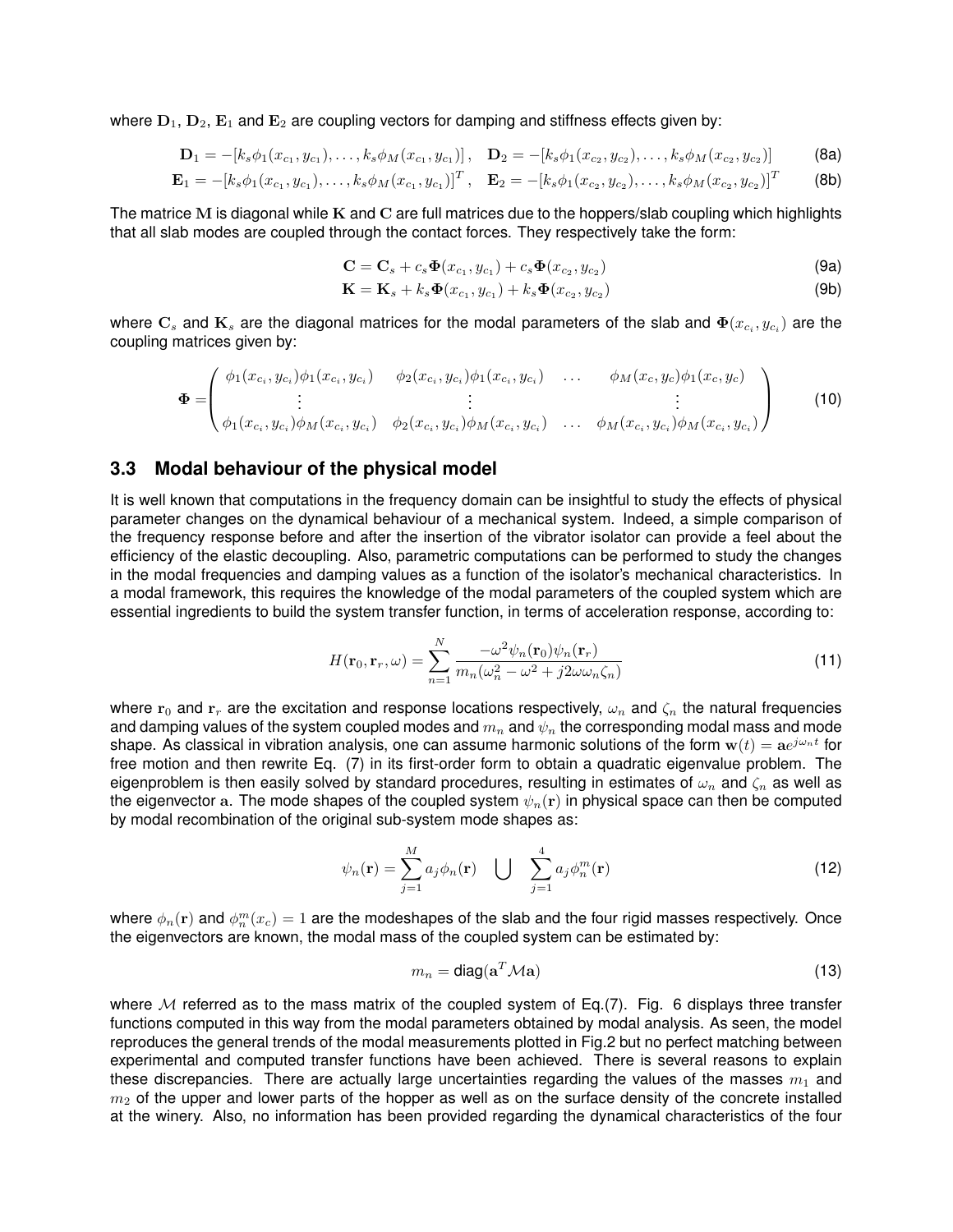where  $D_1$ ,  $D_2$ ,  $E_1$  and  $E_2$  are coupling vectors for damping and stiffness effects given by:

$$
\mathbf{D}_1 = -[k_s \phi_1(x_{c_1}, y_{c_1}), \dots, k_s \phi_M(x_{c_1}, y_{c_1})], \quad \mathbf{D}_2 = -[k_s \phi_1(x_{c_2}, y_{c_2}), \dots, k_s \phi_M(x_{c_2}, y_{c_2})]
$$
(8a)

$$
\mathbf{E}_1 = -[k_s \phi_1(x_{c_1}, y_{c_1}), \dots, k_s \phi_M(x_{c_1}, y_{c_1})]^T, \quad \mathbf{E}_2 = -[k_s \phi_1(x_{c_2}, y_{c_2}), \dots, k_s \phi_M(x_{c_2}, y_{c_2})]^T
$$
(8b)

The matrice M is diagonal while K and C are full matrices due to the hoppers/slab coupling which highlights that all slab modes are coupled through the contact forces. They respectively take the form:

$$
\mathbf{C} = \mathbf{C}_s + c_s \mathbf{\Phi}(x_{c_1}, y_{c_1}) + c_s \mathbf{\Phi}(x_{c_2}, y_{c_2})
$$
\n(9a)

$$
\mathbf{K} = \mathbf{K}_s + k_s \mathbf{\Phi}(x_{c_1}, y_{c_1}) + k_s \mathbf{\Phi}(x_{c_2}, y_{c_2})
$$
\n
$$
\tag{9b}
$$

where  $\mathbf{C}_s$  and  $\mathbf{K}_s$  are the diagonal matrices for the modal parameters of the slab and  $\mathbf{\Phi}(x_{c_i},y_{c_i})$  are the coupling matrices given by:

$$
\Phi = \begin{pmatrix} \phi_1(x_{c_i}, y_{c_i})\phi_1(x_{c_i}, y_{c_i}) & \phi_2(x_{c_i}, y_{c_i})\phi_1(x_{c_i}, y_{c_i}) & \dots & \phi_M(x_c, y_c)\phi_1(x_c, y_c) \\ \vdots & \vdots & \vdots \\ \phi_1(x_{c_i}, y_{c_i})\phi_M(x_{c_i}, y_{c_i}) & \phi_2(x_{c_i}, y_{c_i})\phi_M(x_{c_i}, y_{c_i}) & \dots & \phi_M(x_{c_i}, y_{c_i})\phi_M(x_{c_i}, y_{c_i}) \end{pmatrix}
$$
(10)

#### **3.3 Modal behaviour of the physical model**

It is well known that computations in the frequency domain can be insightful to study the effects of physical parameter changes on the dynamical behaviour of a mechanical system. Indeed, a simple comparison of the frequency response before and after the insertion of the vibrator isolator can provide a feel about the efficiency of the elastic decoupling. Also, parametric computations can be performed to study the changes in the modal frequencies and damping values as a function of the isolator's mechanical characteristics. In a modal framework, this requires the knowledge of the modal parameters of the coupled system which are essential ingredients to build the system transfer function, in terms of acceleration response, according to:

$$
H(\mathbf{r}_0, \mathbf{r}_r, \omega) = \sum_{n=1}^{N} \frac{-\omega^2 \psi_n(\mathbf{r}_0) \psi_n(\mathbf{r}_r)}{m_n(\omega_n^2 - \omega^2 + j2\omega\omega_n \zeta_n)}
$$
(11)

where  $r_0$  and  $r_r$  are the excitation and response locations respectively,  $\omega_n$  and  $\zeta_n$  the natural frequencies and damping values of the system coupled modes and  $m_n$  and  $\psi_n$  the corresponding modal mass and mode shape. As classical in vibration analysis, one can assume harmonic solutions of the form  $w(t) = ae^{j\omega_nt}$  for free motion and then rewrite Eq. (7) in its first-order form to obtain a quadratic eigenvalue problem. The eigenproblem is then easily solved by standard procedures, resulting in estimates of  $\omega_n$  and  $\zeta_n$  as well as the eigenvector a. The mode shapes of the coupled system  $\psi_n(\mathbf{r})$  in physical space can then be computed by modal recombination of the original sub-system mode shapes as:

$$
\psi_n(\mathbf{r}) = \sum_{j=1}^M a_j \phi_n(\mathbf{r}) \quad \bigcup \quad \sum_{j=1}^4 a_j \phi_n^m(\mathbf{r}) \tag{12}
$$

where  $\phi_n({\bf r})$  and  $\phi^m_n(x_c)=1$  are the modeshapes of the slab and the four rigid masses respectively. Once the eigenvectors are known, the modal mass of the coupled system can be estimated by:

$$
m_n = \text{diag}(\mathbf{a}^T \mathcal{M} \mathbf{a}) \tag{13}
$$

where M referred as to the mass matrix of the coupled system of Eq.(7). Fig. 6 displays three transfer functions computed in this way from the modal parameters obtained by modal analysis. As seen, the model reproduces the general trends of the modal measurements plotted in Fig.2 but no perfect matching between experimental and computed transfer functions have been achieved. There is several reasons to explain these discrepancies. There are actually large uncertainties regarding the values of the masses  $m_1$  and  $m<sub>2</sub>$  of the upper and lower parts of the hopper as well as on the surface density of the concrete installed at the winery. Also, no information has been provided regarding the dynamical characteristics of the four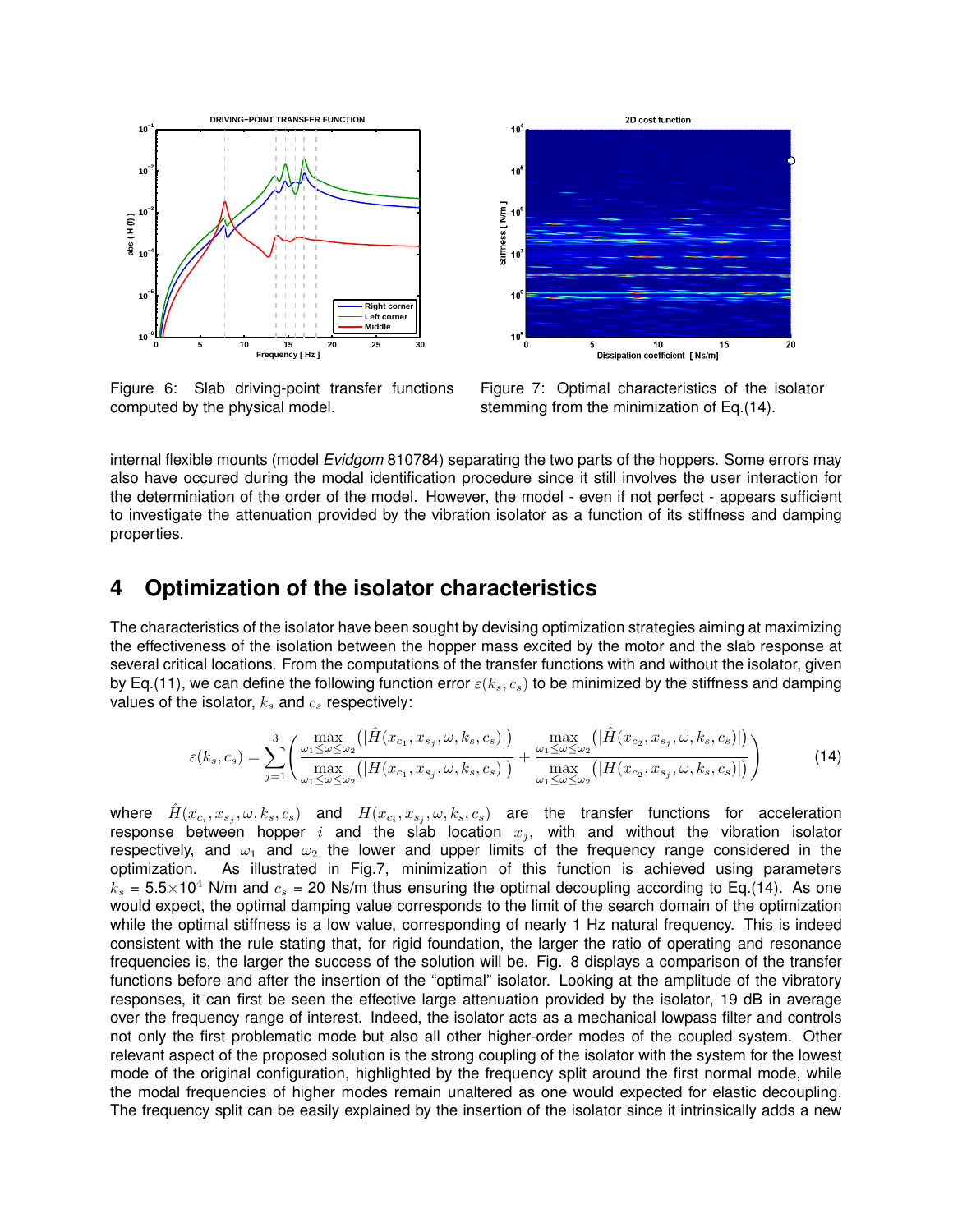

Figure 6: Slab driving-point transfer functions computed by the physical model.



Figure 7: Optimal characteristics of the isolator stemming from the minimization of Eq.(14).

internal flexible mounts (model *Evidgom* 810784) separating the two parts of the hoppers. Some errors may also have occured during the modal identification procedure since it still involves the user interaction for the determiniation of the order of the model. However, the model - even if not perfect - appears sufficient to investigate the attenuation provided by the vibration isolator as a function of its stiffness and damping properties.

### **4 Optimization of the isolator characteristics**

The characteristics of the isolator have been sought by devising optimization strategies aiming at maximizing the effectiveness of the isolation between the hopper mass excited by the motor and the slab response at several critical locations. From the computations of the transfer functions with and without the isolator, given by Eq.(11), we can define the following function error  $\varepsilon(k_s, c_s)$  to be minimized by the stiffness and damping values of the isolator,  $k<sub>s</sub>$  and  $c<sub>s</sub>$  respectively:

$$
\varepsilon(k_s, c_s) = \sum_{j=1}^3 \left( \frac{\max\limits_{\omega_1 \leq \omega \leq \omega_2} (\vert \hat{H}(x_{c_1}, x_{s_j}, \omega, k_s, c_s) \vert)}{\max\limits_{\omega_1 \leq \omega \leq \omega_2} (\vert H(x_{c_1}, x_{s_j}, \omega, k_s, c_s) \vert)} + \frac{\max\limits_{\omega_1 \leq \omega \leq \omega_2} (\vert \hat{H}(x_{c_2}, x_{s_j}, \omega, k_s, c_s) \vert)}{\max\limits_{\omega_1 \leq \omega \leq \omega_2} (\vert H(x_{c_2}, x_{s_j}, \omega, k_s, c_s) \vert)} \right)
$$
(14)

where  $\hat{H}(x_{c_i},x_{s_j},\omega,k_s,c_s)$  and  $H(x_{c_i},x_{s_j},\omega,k_s,c_s)$  are the transfer functions for acceleration response between hopper i and the slab location  $x_j$ , with and without the vibration isolator respectively, and  $\omega_1$  and  $\omega_2$  the lower and upper limits of the frequency range considered in the optimization. As illustrated in Fig.7, minimization of this function is achieved using parameters  $k_s = 5.5 \times 10^4$  N/m and  $c_s = 20$  Ns/m thus ensuring the optimal decoupling according to Eq.(14). As one would expect, the optimal damping value corresponds to the limit of the search domain of the optimization while the optimal stiffness is a low value, corresponding of nearly 1 Hz natural frequency. This is indeed consistent with the rule stating that, for rigid foundation, the larger the ratio of operating and resonance frequencies is, the larger the success of the solution will be. Fig. 8 displays a comparison of the transfer functions before and after the insertion of the "optimal" isolator. Looking at the amplitude of the vibratory responses, it can first be seen the effective large attenuation provided by the isolator, 19 dB in average over the frequency range of interest. Indeed, the isolator acts as a mechanical lowpass filter and controls not only the first problematic mode but also all other higher-order modes of the coupled system. Other relevant aspect of the proposed solution is the strong coupling of the isolator with the system for the lowest mode of the original configuration, highlighted by the frequency split around the first normal mode, while the modal frequencies of higher modes remain unaltered as one would expected for elastic decoupling. The frequency split can be easily explained by the insertion of the isolator since it intrinsically adds a new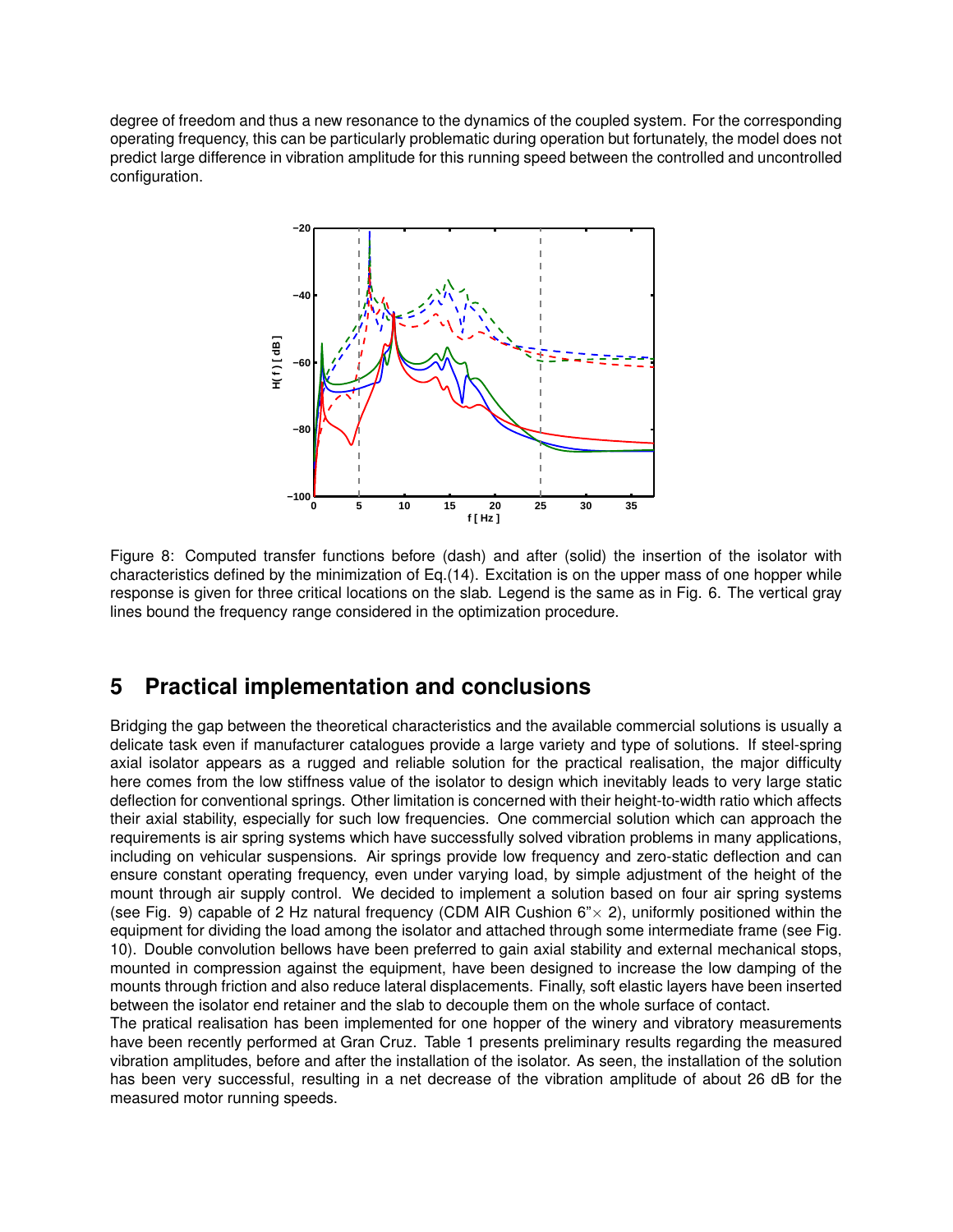degree of freedom and thus a new resonance to the dynamics of the coupled system. For the corresponding operating frequency, this can be particularly problematic during operation but fortunately, the model does not predict large difference in vibration amplitude for this running speed between the controlled and uncontrolled configuration.



Figure 8: Computed transfer functions before (dash) and after (solid) the insertion of the isolator with characteristics defined by the minimization of Eq.(14). Excitation is on the upper mass of one hopper while response is given for three critical locations on the slab. Legend is the same as in Fig. 6. The vertical gray lines bound the frequency range considered in the optimization procedure.

## **5 Practical implementation and conclusions**

Bridging the gap between the theoretical characteristics and the available commercial solutions is usually a delicate task even if manufacturer catalogues provide a large variety and type of solutions. If steel-spring axial isolator appears as a rugged and reliable solution for the practical realisation, the major difficulty here comes from the low stiffness value of the isolator to design which inevitably leads to very large static deflection for conventional springs. Other limitation is concerned with their height-to-width ratio which affects their axial stability, especially for such low frequencies. One commercial solution which can approach the requirements is air spring systems which have successfully solved vibration problems in many applications, including on vehicular suspensions. Air springs provide low frequency and zero-static deflection and can ensure constant operating frequency, even under varying load, by simple adjustment of the height of the mount through air supply control. We decided to implement a solution based on four air spring systems (see Fig. 9) capable of 2 Hz natural frequency (CDM AIR Cushion  $6" \times 2$ ), uniformly positioned within the equipment for dividing the load among the isolator and attached through some intermediate frame (see Fig. 10). Double convolution bellows have been preferred to gain axial stability and external mechanical stops, mounted in compression against the equipment, have been designed to increase the low damping of the mounts through friction and also reduce lateral displacements. Finally, soft elastic layers have been inserted between the isolator end retainer and the slab to decouple them on the whole surface of contact.

The pratical realisation has been implemented for one hopper of the winery and vibratory measurements have been recently performed at Gran Cruz. Table 1 presents preliminary results regarding the measured vibration amplitudes, before and after the installation of the isolator. As seen, the installation of the solution has been very successful, resulting in a net decrease of the vibration amplitude of about 26 dB for the measured motor running speeds.